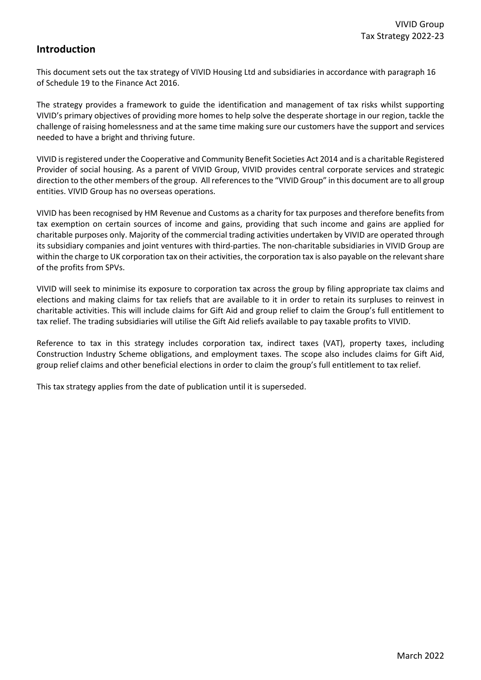# **Introduction**

This document sets out the tax strategy of VIVID Housing Ltd and subsidiaries in accordance with paragraph 16 of Schedule 19 to the Finance Act 2016.

The strategy provides a framework to guide the identification and management of tax risks whilst supporting VIVID's primary objectives of providing more homes to help solve the desperate shortage in our region, tackle the challenge of raising homelessness and at the same time making sure our customers have the support and services needed to have a bright and thriving future.

VIVID is registered under the Cooperative and Community Benefit Societies Act 2014 and is a charitable Registered Provider of social housing. As a parent of VIVID Group, VIVID provides central corporate services and strategic direction to the other members of the group. All references to the "VIVID Group" in this document are to all group entities. VIVID Group has no overseas operations.

VIVID has been recognised by HM Revenue and Customs as a charity for tax purposes and therefore benefits from tax exemption on certain sources of income and gains, providing that such income and gains are applied for charitable purposes only. Majority of the commercial trading activities undertaken by VIVID are operated through its subsidiary companies and joint ventures with third-parties. The non-charitable subsidiaries in VIVID Group are within the charge to UK corporation tax on their activities, the corporation tax is also payable on the relevant share of the profits from SPVs.

VIVID will seek to minimise its exposure to corporation tax across the group by filing appropriate tax claims and elections and making claims for tax reliefs that are available to it in order to retain its surpluses to reinvest in charitable activities. This will include claims for Gift Aid and group relief to claim the Group's full entitlement to tax relief. The trading subsidiaries will utilise the Gift Aid reliefs available to pay taxable profits to VIVID.

Reference to tax in this strategy includes corporation tax, indirect taxes (VAT), property taxes, including Construction Industry Scheme obligations, and employment taxes. The scope also includes claims for Gift Aid, group relief claims and other beneficial elections in order to claim the group's full entitlement to tax relief.

This tax strategy applies from the date of publication until it is superseded.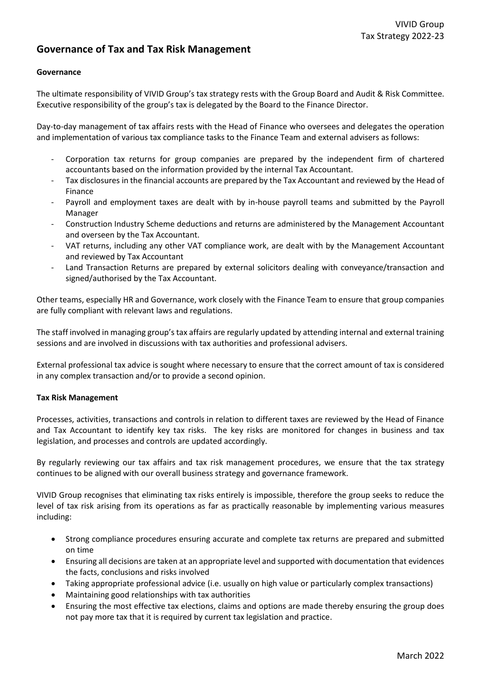## **Governance of Tax and Tax Risk Management**

### **Governance**

The ultimate responsibility of VIVID Group's tax strategy rests with the Group Board and Audit & Risk Committee. Executive responsibility of the group's tax is delegated by the Board to the Finance Director.

Day-to-day management of tax affairs rests with the Head of Finance who oversees and delegates the operation and implementation of various tax compliance tasks to the Finance Team and external advisers as follows:

- Corporation tax returns for group companies are prepared by the independent firm of chartered accountants based on the information provided by the internal Tax Accountant.
- Tax disclosures in the financial accounts are prepared by the Tax Accountant and reviewed by the Head of Finance
- Payroll and employment taxes are dealt with by in-house payroll teams and submitted by the Payroll Manager
- Construction Industry Scheme deductions and returns are administered by the Management Accountant and overseen by the Tax Accountant.
- VAT returns, including any other VAT compliance work, are dealt with by the Management Accountant and reviewed by Tax Accountant
- Land Transaction Returns are prepared by external solicitors dealing with conveyance/transaction and signed/authorised by the Tax Accountant.

Other teams, especially HR and Governance, work closely with the Finance Team to ensure that group companies are fully compliant with relevant laws and regulations.

The staff involved in managing group's tax affairs are regularly updated by attending internal and external training sessions and are involved in discussions with tax authorities and professional advisers.

External professional tax advice is sought where necessary to ensure that the correct amount of tax is considered in any complex transaction and/or to provide a second opinion.

#### **Tax Risk Management**

Processes, activities, transactions and controls in relation to different taxes are reviewed by the Head of Finance and Tax Accountant to identify key tax risks. The key risks are monitored for changes in business and tax legislation, and processes and controls are updated accordingly.

By regularly reviewing our tax affairs and tax risk management procedures, we ensure that the tax strategy continues to be aligned with our overall business strategy and governance framework.

VIVID Group recognises that eliminating tax risks entirely is impossible, therefore the group seeks to reduce the level of tax risk arising from its operations as far as practically reasonable by implementing various measures including:

- Strong compliance procedures ensuring accurate and complete tax returns are prepared and submitted on time
- Ensuring all decisions are taken at an appropriate level and supported with documentation that evidences the facts, conclusions and risks involved
- Taking appropriate professional advice (i.e. usually on high value or particularly complex transactions)
- Maintaining good relationships with tax authorities
- Ensuring the most effective tax elections, claims and options are made thereby ensuring the group does not pay more tax that it is required by current tax legislation and practice.